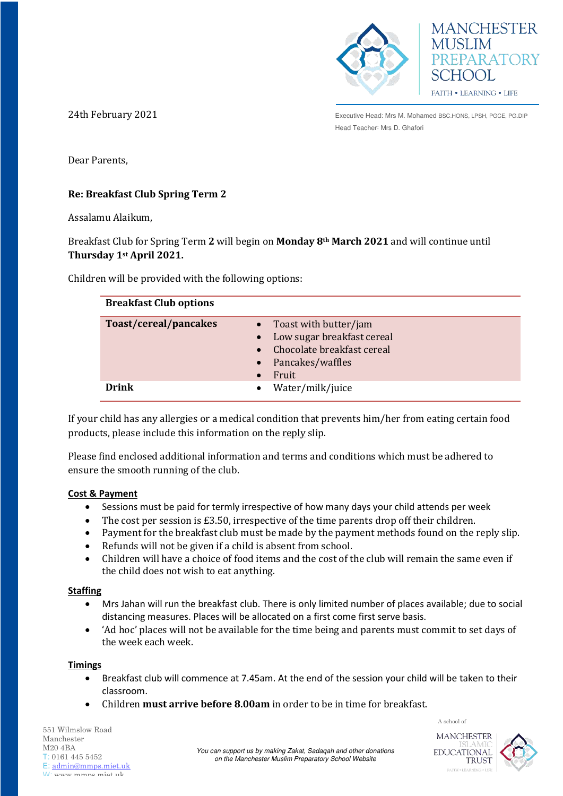



24th February 2021

Executive Head: Mrs M. Mohamed BSC.HONS, LPSH, PGCE, PG.DIP Head Teacher: Mrs D. Ghafori

Dear Parents,

# **Re: Breakfast Club Spring Term 2**

Assalamu Alaikum,

Breakfast Club for Spring Term **2** will begin on **Monday 8th March 2021** and will continue until **Thursday 1st April 2021.**

Children will be provided with the following options:

| <b>Breakfast Club options</b> |                                                                                                                                          |
|-------------------------------|------------------------------------------------------------------------------------------------------------------------------------------|
| Toast/cereal/pancakes         | Toast with butter/jam<br>$\bullet$<br>Low sugar breakfast cereal<br>$\bullet$<br>Chocolate breakfast cereal<br>Pancakes/waffles<br>Fruit |
| Drink                         | Water/milk/juice<br>$\bullet$                                                                                                            |

If your child has any allergies or a medical condition that prevents him/her from eating certain food products, please include this information on the reply slip.

Please find enclosed additional information and terms and conditions which must be adhered to ensure the smooth running of the club.

#### **Cost & Payment**

- Sessions must be paid for termly irrespective of how many days your child attends per week
- $\bullet$  The cost per session is £3.50, irrespective of the time parents drop off their children.
- Payment for the breakfast club must be made by the payment methods found on the reply slip.
- Refunds will not be given if a child is absent from school.
- Children will have a choice of food items and the cost of the club will remain the same even if the child does not wish to eat anything.

#### **Staffing**

- Mrs Jahan will run the breakfast club. There is only limited number of places available; due to social distancing measures. Places will be allocated on a first come first serve basis.
- 'Ad hoc' places will not be available for the time being and parents must commit to set days of the week each week.

#### **Timings**

- Breakfast club will commence at 7.45am. At the end of the session your child will be taken to their classroom.
- Children **must arrive before 8.00am** in order to be in time for breakfast.

551 Wilmslow Road Manchester M20 4BA T: 0161 445 5452 E: [admin@mmps.miet.uk](mailto:admin@mmps.miet.uk) W: www.mmps.miet.uk

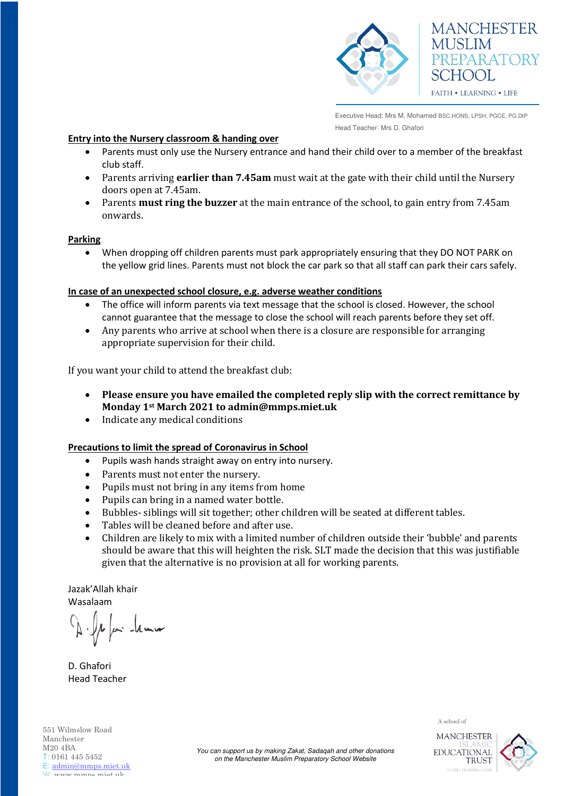

Executive Head: Mrs M. Mohamed BSC.HONS, LPSH, PGCE, PG.DIP Head Teacher: Mrs D. Ghafori

### **Entry into the Nursery classroom & handing over**

- Parents must only use the Nursery entrance and hand their child over to a member of the breakfast club staff.
- Parents arriving **earlier than 7.45am** must wait at the gate with their child until the Nursery doors open at 7.45am.
- Parents **must ring the buzzer** at the main entrance of the school, to gain entry from 7.45am onwards.

### **Parking**

 When dropping off children parents must park appropriately ensuring that they DO NOT PARK on the yellow grid lines. Parents must not block the car park so that all staff can park their cars safely.

### **In case of an unexpected school closure, e.g. adverse weather conditions**

- The office will inform parents via text message that the school is closed. However, the school cannot guarantee that the message to close the school will reach parents before they set off.
- Any parents who arrive at school when there is a closure are responsible for arranging appropriate supervision for their child.

If you want your child to attend the breakfast club:

- **Please ensure you have emailed the completed reply slip with the correct remittance by Monday 1st March 2021 to admin@mmps.miet.uk**
- Indicate any medical conditions

## **Precautions to limit the spread of Coronavirus in School**

- Pupils wash hands straight away on entry into nursery.
- Parents must not enter the nursery.
- Pupils must not bring in any items from home
- Pupils can bring in a named water bottle.
- Bubbles- siblings will sit together; other children will be seated at different tables.
- Tables will be cleaned before and after use.
- Children are likely to mix with a limited number of children outside their 'bubble' and parents should be aware that this will heighten the risk. SLT made the decision that this was justifiable given that the alternative is no provision at all for working parents.

Jazak'Allah khair Wasalaam

1 far hun

D. Ghafori Head Teacher



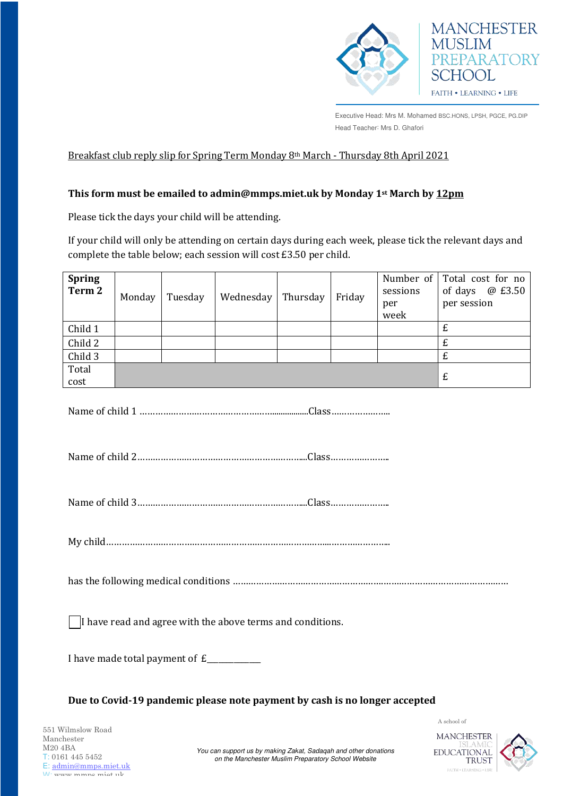

Executive Head: Mrs M. Mohamed BSC.HONS, LPSH, PGCE, PG.DIP Head Teacher: Mrs D. Ghafori

## Breakfast club reply slip for Spring Term Monday 8th March - Thursday 8th April 2021

## **This form must be emailed to admin@mmps.miet.uk by Monday 1st March by 12pm**

Please tick the days your child will be attending.

If your child will only be attending on certain days during each week, please tick the relevant days and complete the table below; each session will cost £3.50 per child.

| <b>Spring</b><br>Term <sub>2</sub> | Monday | Tuesday                                   | Wednesday                                                                  | Thursday | Friday | Number of<br>sessions<br>per<br>week | Total cost for no<br>@ £3.50<br>of days<br>per session |
|------------------------------------|--------|-------------------------------------------|----------------------------------------------------------------------------|----------|--------|--------------------------------------|--------------------------------------------------------|
| Child 1                            |        |                                           |                                                                            |          |        |                                      | £                                                      |
| Child 2                            |        |                                           |                                                                            |          |        |                                      | £                                                      |
| Child <sub>3</sub>                 |        |                                           |                                                                            |          |        |                                      | £                                                      |
| Total<br>cost                      |        | £                                         |                                                                            |          |        |                                      |                                                        |
|                                    |        |                                           |                                                                            |          |        |                                      |                                                        |
|                                    |        |                                           |                                                                            |          |        |                                      |                                                        |
|                                    |        |                                           |                                                                            |          |        |                                      |                                                        |
|                                    |        |                                           | I have read and agree with the above terms and conditions.                 |          |        |                                      |                                                        |
|                                    |        | I have made total payment of £___________ |                                                                            |          |        |                                      |                                                        |
|                                    |        |                                           | Due to Covid-19 pandemic please note payment by cash is no longer accepted |          |        |                                      |                                                        |
|                                    |        |                                           |                                                                            |          |        |                                      | A school of                                            |
| 551 Wilmslow Road<br>Manghostor    |        |                                           |                                                                            |          |        | MANCHESTER                           |                                                        |